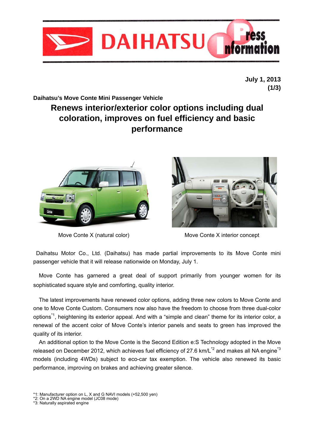

**July 1, 2013 (1/3)** 

## **Daihatsu's Move Conte Mini Passenger Vehicle**

# **Renews interior/exterior color options including dual coloration, improves on fuel efficiency and basic performance**





Move Conte X (natural color) Move Conte X interior concept

 Daihatsu Motor Co., Ltd. (Daihatsu) has made partial improvements to its Move Conte mini passenger vehicle that it will release nationwide on Monday, July 1.

 Move Conte has garnered a great deal of support primarily from younger women for its sophisticated square style and comforting, quality interior.

 The latest improvements have renewed color options, adding three new colors to Move Conte and one to Move Conte Custom. Consumers now also have the freedom to choose from three dual-color options\*1, heightening its exterior appeal. And with a "simple and clean" theme for its interior color, a renewal of the accent color of Move Conte's interior panels and seats to green has improved the quality of its interior.

 An additional option to the Move Conte is the Second Edition e:S Technology adopted in the Move released on December 2012, which achieves fuel efficiency of 27.6 km/L $^*$ <sup>2</sup> and makes all NA engine<sup>\*3</sup> models (including 4WDs) subject to eco-car tax exemption. The vehicle also renewed its basic performance, improving on brakes and achieving greater silence.

- \*1: Manufacturer option on L, X and G NAVI models (+52,500 yen) \*2: On a 2WD NA engine model (JC08 mode)
- 
- \*3: Naturally aspirated engine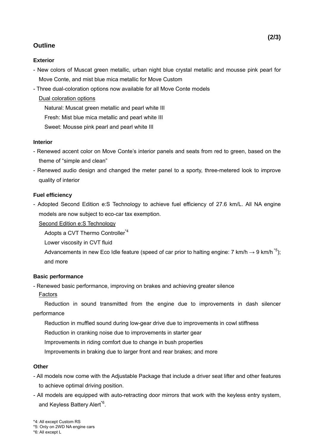# **Outline**

#### **Exterior**

- New colors of Muscat green metallic, urban night blue crystal metallic and mousse pink pearl for Move Conte, and mist blue mica metallic for Move Custom
- Three dual-coloration options now available for all Move Conte models

### Dual coloration options

Natural: Muscat green metallic and pearl white III

Fresh: Mist blue mica metallic and pearl white III

Sweet: Mousse pink pearl and pearl white III

#### **Interior**

- Renewed accent color on Move Conte's interior panels and seats from red to green, based on the theme of "simple and clean"
- Renewed audio design and changed the meter panel to a sporty, three-metered look to improve quality of interior

#### **Fuel efficiency**

- Adopted Second Edition e:S Technology to achieve fuel efficiency of 27.6 km/L. All NA engine models are now subject to eco-car tax exemption.

#### Second Edition e:S Technology

Adopts a CVT Thermo Controller\*4

Lower viscosity in CVT fluid

Advancements in new Eco Idle feature (speed of car prior to halting engine: 7 km/h  $\rightarrow$  9 km/h<sup> $*$ 5</sup>); and more

#### **Basic performance**

- Renewed basic performance, improving on brakes and achieving greater silence

Factors

Reduction in sound transmitted from the engine due to improvements in dash silencer performance

Reduction in muffled sound during low-gear drive due to improvements in cowl stiffness

Reduction in cranking noise due to improvements in starter gear

Improvements in riding comfort due to change in bush properties

Improvements in braking due to larger front and rear brakes; and more

#### **Other**

- All models now come with the Adjustable Package that include a driver seat lifter and other features to achieve optimal driving position.
- All models are equipped with auto-retracting door mirrors that work with the keyless entry system, and Keyless Battery Alert<sup>\*6</sup>.